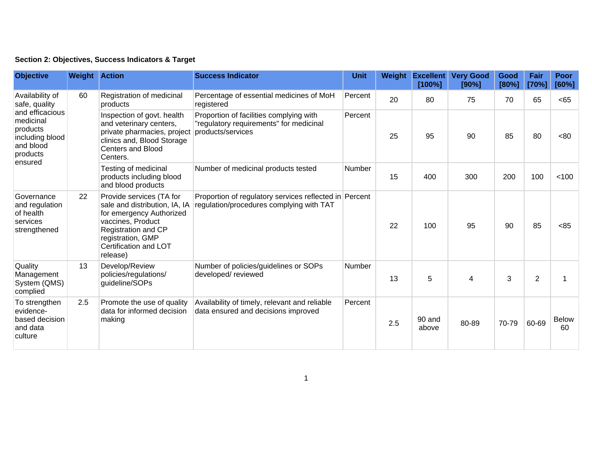|  | Section 2: Objectives, Success Indicators & Target |  |  |  |  |
|--|----------------------------------------------------|--|--|--|--|
|--|----------------------------------------------------|--|--|--|--|

| <b>Objective</b>                                                                                                                    | <b>Weight Action</b> |                                                                                                                                                                                             | <b>Success Indicator</b>                                                                                | <b>Unit</b> | Weight | <b>Excellent</b><br>[100%] | <b>Very Good</b><br>[90%] | Good<br>[80%] | Fair<br>[70%]  | Poor<br>[60%]      |
|-------------------------------------------------------------------------------------------------------------------------------------|----------------------|---------------------------------------------------------------------------------------------------------------------------------------------------------------------------------------------|---------------------------------------------------------------------------------------------------------|-------------|--------|----------------------------|---------------------------|---------------|----------------|--------------------|
| Availability of<br>safe, quality<br>and efficacious<br>medicinal<br>products<br>including blood<br>and blood<br>products<br>ensured | 60                   | Registration of medicinal<br>products                                                                                                                                                       | Percentage of essential medicines of MoH<br>registered                                                  | Percent     | 20     | 80                         | 75                        | 70            | 65             | <65                |
|                                                                                                                                     |                      | Inspection of govt. health<br>and veterinary centers,<br>private pharmacies, project<br>clinics and, Blood Storage<br><b>Centers and Blood</b><br>Centers.                                  | Proportion of facilities complying with<br>"regulatory requirements" for medicinal<br>products/services | Percent     | 25     | 95                         | 90                        | 85            | 80             | <80                |
|                                                                                                                                     |                      | Testing of medicinal<br>products including blood<br>and blood products                                                                                                                      | Number of medicinal products tested                                                                     | Number      | 15     | 400                        | 300                       | 200           | 100            | < 100              |
| Governance<br>and regulation<br>of health<br>services<br>strengthened                                                               | 22                   | Provide services (TA for<br>sale and distribution, IA, IA<br>for emergency Authorized<br>vaccines, Product<br>Registration and CP<br>registration, GMP<br>Certification and LOT<br>release) | Proportion of regulatory services reflected in Percent<br>regulation/procedures complying with TAT      |             | 22     | 100                        | 95                        | 90            | 85             | < 85               |
| Quality<br>Management<br>System (QMS)<br>complied                                                                                   | 13                   | Develop/Review<br>policies/regulations/<br>guideline/SOPs                                                                                                                                   | Number of policies/guidelines or SOPs<br>developed/reviewed                                             | Number      | 13     | 5                          | 4                         | 3             | $\overline{2}$ |                    |
| To strengthen<br>evidence-<br>based decision<br>and data<br>culture                                                                 | 2.5                  | Promote the use of quality<br>data for informed decision<br>making                                                                                                                          | Availability of timely, relevant and reliable<br>data ensured and decisions improved                    | Percent     | 2.5    | 90 and<br>above            | 80-89                     | 70-79         | 60-69          | <b>Below</b><br>60 |